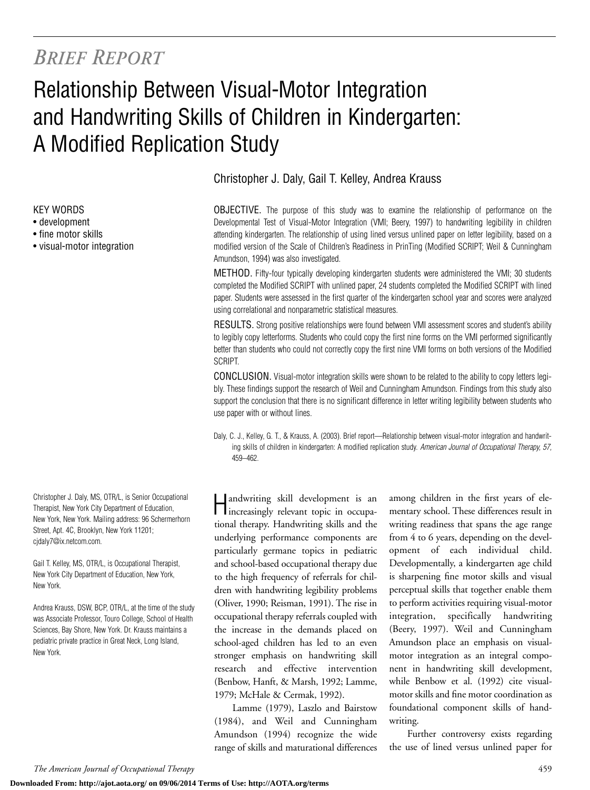## *BRIEF REPORT*

# Relationship Between Visual-Motor Integration and Handwriting Skills of Children in Kindergarten: A Modified Replication Study

KEY WORDS

- development
- fine motor skills
- visual-motor integration

Christopher J. Daly, MS, OTR/L, is Senior Occupational Therapist, New York City Department of Education, New York, New York. Mailing address: 96 Schermerhorn Street, Apt. 4C, Brooklyn, New York 11201; cjdaly7@ix.netcom.com.

Gail T. Kelley, MS, OTR/L, is Occupational Therapist, New York City Department of Education, New York, New York.

Andrea Krauss, DSW, BCP, OTR/L, at the time of the study was Associate Professor, Touro College, School of Health Sciences, Bay Shore, New York. Dr. Krauss maintains a pediatric private practice in Great Neck, Long Island, New York.

Christopher J. Daly, Gail T. Kelley, Andrea Krauss

OBJECTIVE. The purpose of this study was to examine the relationship of performance on the Developmental Test of Visual-Motor Integration (VMI; Beery, 1997) to handwriting legibility in children attending kindergarten. The relationship of using lined versus unlined paper on letter legibility, based on a modified version of the Scale of Children's Readiness in PrinTing (Modified SCRIPT; Weil & Cunningham Amundson, 1994) was also investigated.

METHOD. Fifty-four typically developing kindergarten students were administered the VMI; 30 students completed the Modified SCRIPT with unlined paper, 24 students completed the Modified SCRIPT with lined paper. Students were assessed in the first quarter of the kindergarten school year and scores were analyzed using correlational and nonparametric statistical measures.

RESULTS. Strong positive relationships were found between VMI assessment scores and student's ability to legibly copy letterforms. Students who could copy the first nine forms on the VMI performed significantly better than students who could not correctly copy the first nine VMI forms on both versions of the Modified SCRIPT.

CONCLUSION. Visual-motor integration skills were shown to be related to the ability to copy letters legibly. These findings support the research of Weil and Cunningham Amundson. Findings from this study also support the conclusion that there is no significant difference in letter writing legibility between students who use paper with or without lines.

Daly, C. J., Kelley, G. T., & Krauss, A. (2003). Brief report—Relationship between visual-motor integration and handwriting skills of children in kindergarten: A modified replication study. *American Journal of Occupational Therapy, 57,* 459–462.

Handwriting skill development is an increasingly relevant topic in occupational therapy. Handwriting skills and the underlying performance components are particularly germane topics in pediatric and school-based occupational therapy due to the high frequency of referrals for children with handwriting legibility problems (Oliver, 1990; Reisman, 1991). The rise in occupational therapy referrals coupled with the increase in the demands placed on school-aged children has led to an even stronger emphasis on handwriting skill research and effective intervention (Benbow, Hanft, & Marsh, 1992; Lamme, 1979; McHale & Cermak, 1992).

Lamme (1979), Laszlo and Bairstow (1984), and Weil and Cunningham Amundson (1994) recognize the wide range of skills and maturational differences

among children in the first years of elementary school. These differences result in writing readiness that spans the age range from 4 to 6 years, depending on the development of each individual child. Developmentally, a kindergarten age child is sharpening fine motor skills and visual perceptual skills that together enable them to perform activities requiring visual-motor integration, specifically handwriting (Beery, 1997). Weil and Cunningham Amundson place an emphasis on visualmotor integration as an integral component in handwriting skill development, while Benbow et al. (1992) cite visualmotor skills and fine motor coordination as foundational component skills of handwriting.

Further controversy exists regarding the use of lined versus unlined paper for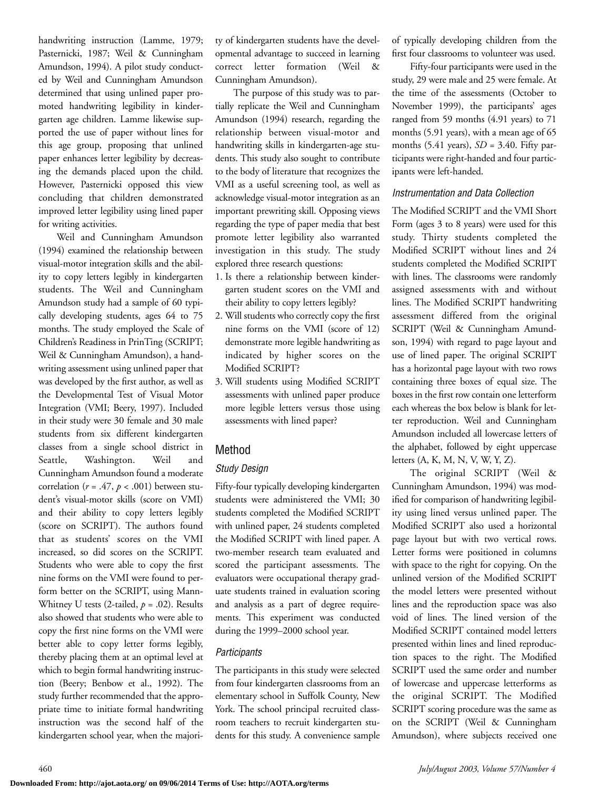handwriting instruction (Lamme, 1979; Pasternicki, 1987; Weil & Cunningham Amundson, 1994). A pilot study conducted by Weil and Cunningham Amundson determined that using unlined paper promoted handwriting legibility in kindergarten age children. Lamme likewise supported the use of paper without lines for this age group, proposing that unlined paper enhances letter legibility by decreasing the demands placed upon the child. However, Pasternicki opposed this view concluding that children demonstrated improved letter legibility using lined paper for writing activities.

Weil and Cunningham Amundson (1994) examined the relationship between visual-motor integration skills and the ability to copy letters legibly in kindergarten students. The Weil and Cunningham Amundson study had a sample of 60 typically developing students, ages 64 to 75 months. The study employed the Scale of Children's Readiness in PrinTing (SCRIPT; Weil & Cunningham Amundson), a handwriting assessment using unlined paper that was developed by the first author, as well as the Developmental Test of Visual Motor Integration (VMI; Beery, 1997). Included in their study were 30 female and 30 male students from six different kindergarten classes from a single school district in Seattle, Washington. Weil and Cunningham Amundson found a moderate correlation ( $r = .47$ ,  $p < .001$ ) between student's visual-motor skills (score on VMI) and their ability to copy letters legibly (score on SCRIPT). The authors found that as students' scores on the VMI increased, so did scores on the SCRIPT. Students who were able to copy the first nine forms on the VMI were found to perform better on the SCRIPT, using Mann-Whitney U tests (2-tailed, *p* = .02). Results also showed that students who were able to copy the first nine forms on the VMI were better able to copy letter forms legibly, thereby placing them at an optimal level at which to begin formal handwriting instruction (Beery; Benbow et al., 1992). The study further recommended that the appropriate time to initiate formal handwriting instruction was the second half of the kindergarten school year, when the majority of kindergarten students have the developmental advantage to succeed in learning correct letter formation (Weil & Cunningham Amundson).

The purpose of this study was to partially replicate the Weil and Cunningham Amundson (1994) research, regarding the relationship between visual-motor and handwriting skills in kindergarten-age students. This study also sought to contribute to the body of literature that recognizes the VMI as a useful screening tool, as well as acknowledge visual-motor integration as an important prewriting skill. Opposing views regarding the type of paper media that best promote letter legibility also warranted investigation in this study. The study explored three research questions:

- 1. Is there a relationship between kindergarten student scores on the VMI and their ability to copy letters legibly?
- 2. Will students who correctly copy the first nine forms on the VMI (score of 12) demonstrate more legible handwriting as indicated by higher scores on the Modified SCRIPT?
- 3. Will students using Modified SCRIPT assessments with unlined paper produce more legible letters versus those using assessments with lined paper?

## Method

### *Study Design*

Fifty-four typically developing kindergarten students were administered the VMI; 30 students completed the Modified SCRIPT with unlined paper, 24 students completed the Modified SCRIPT with lined paper. A two-member research team evaluated and scored the participant assessments. The evaluators were occupational therapy graduate students trained in evaluation scoring and analysis as a part of degree requirements. This experiment was conducted during the 1999–2000 school year.

#### *Participants*

The participants in this study were selected from four kindergarten classrooms from an elementary school in Suffolk County, New York. The school principal recruited classroom teachers to recruit kindergarten students for this study. A convenience sample of typically developing children from the first four classrooms to volunteer was used.

Fifty-four participants were used in the study, 29 were male and 25 were female. At the time of the assessments (October to November 1999), the participants' ages ranged from 59 months (4.91 years) to 71 months (5.91 years), with a mean age of 65 months (5.41 years), *SD* = 3.40. Fifty participants were right-handed and four participants were left-handed.

#### *Instrumentation and Data Collection*

The Modified SCRIPT and the VMI Short Form (ages 3 to 8 years) were used for this study. Thirty students completed the Modified SCRIPT without lines and 24 students completed the Modified SCRIPT with lines. The classrooms were randomly assigned assessments with and without lines. The Modified SCRIPT handwriting assessment differed from the original SCRIPT (Weil & Cunningham Amundson, 1994) with regard to page layout and use of lined paper. The original SCRIPT has a horizontal page layout with two rows containing three boxes of equal size. The boxes in the first row contain one letterform each whereas the box below is blank for letter reproduction. Weil and Cunningham Amundson included all lowercase letters of the alphabet, followed by eight uppercase letters (A, K, M, N, V, W, Y, Z).

The original SCRIPT (Weil & Cunningham Amundson, 1994) was modified for comparison of handwriting legibility using lined versus unlined paper. The Modified SCRIPT also used a horizontal page layout but with two vertical rows. Letter forms were positioned in columns with space to the right for copying. On the unlined version of the Modified SCRIPT the model letters were presented without lines and the reproduction space was also void of lines. The lined version of the Modified SCRIPT contained model letters presented within lines and lined reproduction spaces to the right. The Modified SCRIPT used the same order and number of lowercase and uppercase letterforms as the original SCRIPT. The Modified SCRIPT scoring procedure was the same as on the SCRIPT (Weil & Cunningham Amundson), where subjects received one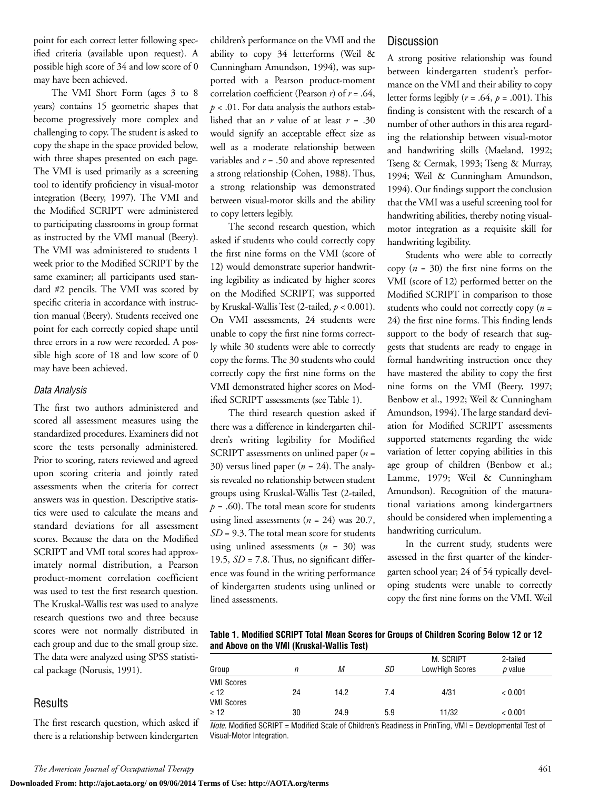point for each correct letter following specified criteria (available upon request). A possible high score of 34 and low score of 0 may have been achieved.

The VMI Short Form (ages 3 to 8 years) contains 15 geometric shapes that become progressively more complex and challenging to copy. The student is asked to copy the shape in the space provided below, with three shapes presented on each page. The VMI is used primarily as a screening tool to identify proficiency in visual-motor integration (Beery, 1997). The VMI and the Modified SCRIPT were administered to participating classrooms in group format as instructed by the VMI manual (Beery). The VMI was administered to students 1 week prior to the Modified SCRIPT by the same examiner; all participants used standard #2 pencils. The VMI was scored by specific criteria in accordance with instruction manual (Beery). Students received one point for each correctly copied shape until three errors in a row were recorded. A possible high score of 18 and low score of 0 may have been achieved.

#### *Data Analysis*

The first two authors administered and scored all assessment measures using the standardized procedures. Examiners did not score the tests personally administered. Prior to scoring, raters reviewed and agreed upon scoring criteria and jointly rated assessments when the criteria for correct answers was in question. Descriptive statistics were used to calculate the means and standard deviations for all assessment scores. Because the data on the Modified SCRIPT and VMI total scores had approximately normal distribution, a Pearson product-moment correlation coefficient was used to test the first research question. The Kruskal-Wallis test was used to analyze research questions two and three because scores were not normally distributed in each group and due to the small group size. The data were analyzed using SPSS statistical package (Norusis, 1991).

#### **Results**

The first research question, which asked if there is a relationship between kindergarten

children's performance on the VMI and the ability to copy 34 letterforms (Weil & Cunningham Amundson, 1994), was supported with a Pearson product-moment correlation coefficient (Pearson *r*) of *r* = .64, *p* < .01. For data analysis the authors established that an *r* value of at least *r* = .30 would signify an acceptable effect size as well as a moderate relationship between variables and *r* = .50 and above represented a strong relationship (Cohen, 1988). Thus, a strong relationship was demonstrated between visual-motor skills and the ability to copy letters legibly.

The second research question, which asked if students who could correctly copy the first nine forms on the VMI (score of 12) would demonstrate superior handwriting legibility as indicated by higher scores on the Modified SCRIPT, was supported by Kruskal-Wallis Test (2-tailed, *p* < 0.001). On VMI assessments, 24 students were unable to copy the first nine forms correctly while 30 students were able to correctly copy the forms. The 30 students who could correctly copy the first nine forms on the VMI demonstrated higher scores on Modified SCRIPT assessments (see Table 1).

The third research question asked if there was a difference in kindergarten children's writing legibility for Modified SCRIPT assessments on unlined paper (*n* = 30) versus lined paper  $(n = 24)$ . The analysis revealed no relationship between student groups using Kruskal-Wallis Test (2-tailed,  $p = .60$ ). The total mean score for students using lined assessments (*n* = 24) was 20.7, *SD* = 9.3. The total mean score for students using unlined assessments (*n* = 30) was 19.5,  $SD = 7.8$ . Thus, no significant difference was found in the writing performance of kindergarten students using unlined or lined assessments.

#### **Discussion**

A strong positive relationship was found between kindergarten student's performance on the VMI and their ability to copy letter forms legibly  $(r = .64, p = .001)$ . This finding is consistent with the research of a number of other authors in this area regarding the relationship between visual-motor and handwriting skills (Maeland, 1992; Tseng & Cermak, 1993; Tseng & Murray, 1994; Weil & Cunningham Amundson, 1994). Our findings support the conclusion that the VMI was a useful screening tool for handwriting abilities, thereby noting visualmotor integration as a requisite skill for handwriting legibility.

Students who were able to correctly copy (*n* = 30) the first nine forms on the VMI (score of 12) performed better on the Modified SCRIPT in comparison to those students who could not correctly copy (*n* = 24) the first nine forms. This finding lends support to the body of research that suggests that students are ready to engage in formal handwriting instruction once they have mastered the ability to copy the first nine forms on the VMI (Beery, 1997; Benbow et al., 1992; Weil & Cunningham Amundson, 1994). The large standard deviation for Modified SCRIPT assessments supported statements regarding the wide variation of letter copying abilities in this age group of children (Benbow et al.; Lamme, 1979; Weil & Cunningham Amundson). Recognition of the maturational variations among kindergartners should be considered when implementing a handwriting curriculum.

In the current study, students were assessed in the first quarter of the kindergarten school year; 24 of 54 typically developing students were unable to correctly copy the first nine forms on the VMI. Weil

**Table 1. Modified SCRIPT Total Mean Scores for Groups of Children Scoring Below 12 or 12 and Above on the VMI (Kruskal-Wallis Test)**

| Group             |    | М    | SD  | M. SCRIPT<br>Low/High Scores | 2-tailed<br><i>p</i> value |  |
|-------------------|----|------|-----|------------------------------|----------------------------|--|
|                   | n  |      |     |                              |                            |  |
| <b>VMI Scores</b> |    |      |     |                              |                            |  |
| < 12              | 24 | 14.2 | 7.4 | 4/31                         | < 0.001                    |  |
| <b>VMI Scores</b> |    |      |     |                              |                            |  |
| $\geq 12$         | 30 | 24.9 | 5.9 | 11/32                        | < 0.001                    |  |

*Note.* Modified SCRIPT = Modified Scale of Children's Readiness in PrinTing, VMI = Developmental Test of Visual-Motor Integration.

**Downloaded From: http://ajot.aota.org/ on 09/06/2014 Terms of Use: http://AOTA.org/terms**